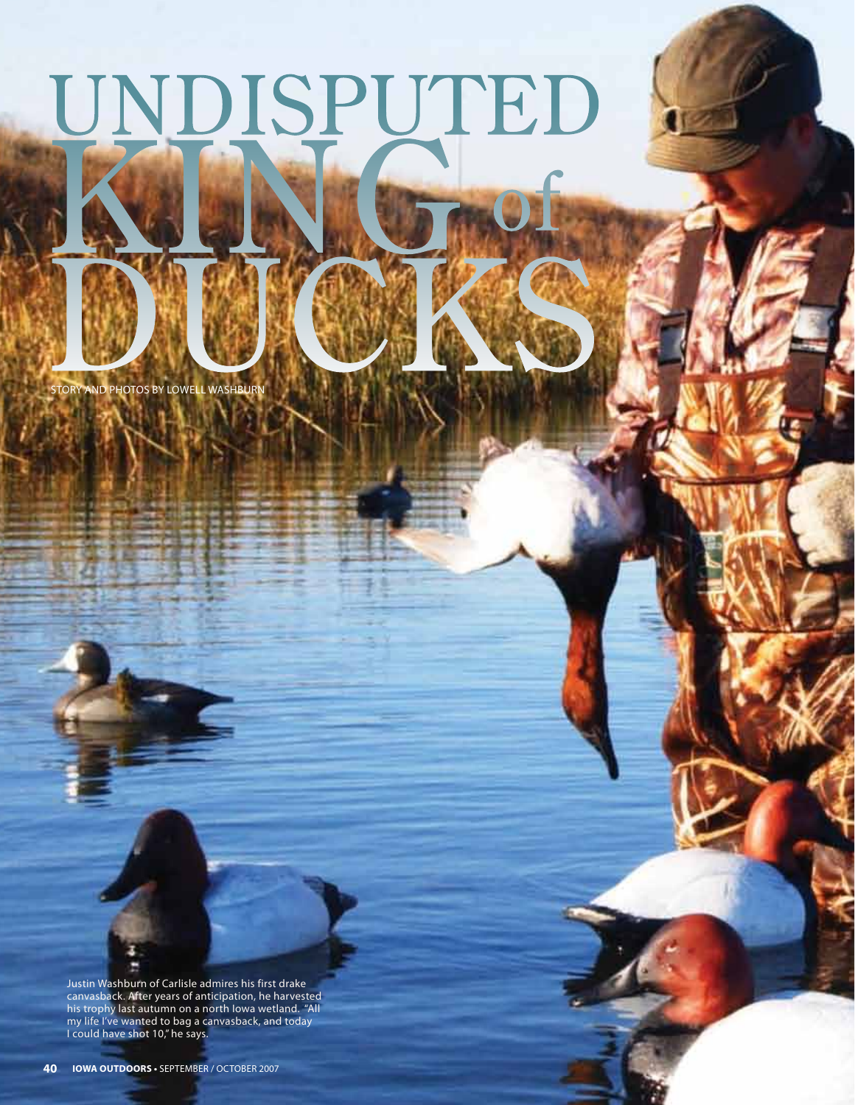## UNDISPUTED King of

CHIC

STORY AND PHOTOS BY TORY AND PHOTOS BY LOWELL WASHBURN

Justin Washburn of Carlisle admires his first drake canvasback. After years of anticipation, he harvested his trophy last autumn on a north Iowa wetland. "All my life I've wanted to bag a canvasback, and today I could have shot 10," he says.

Е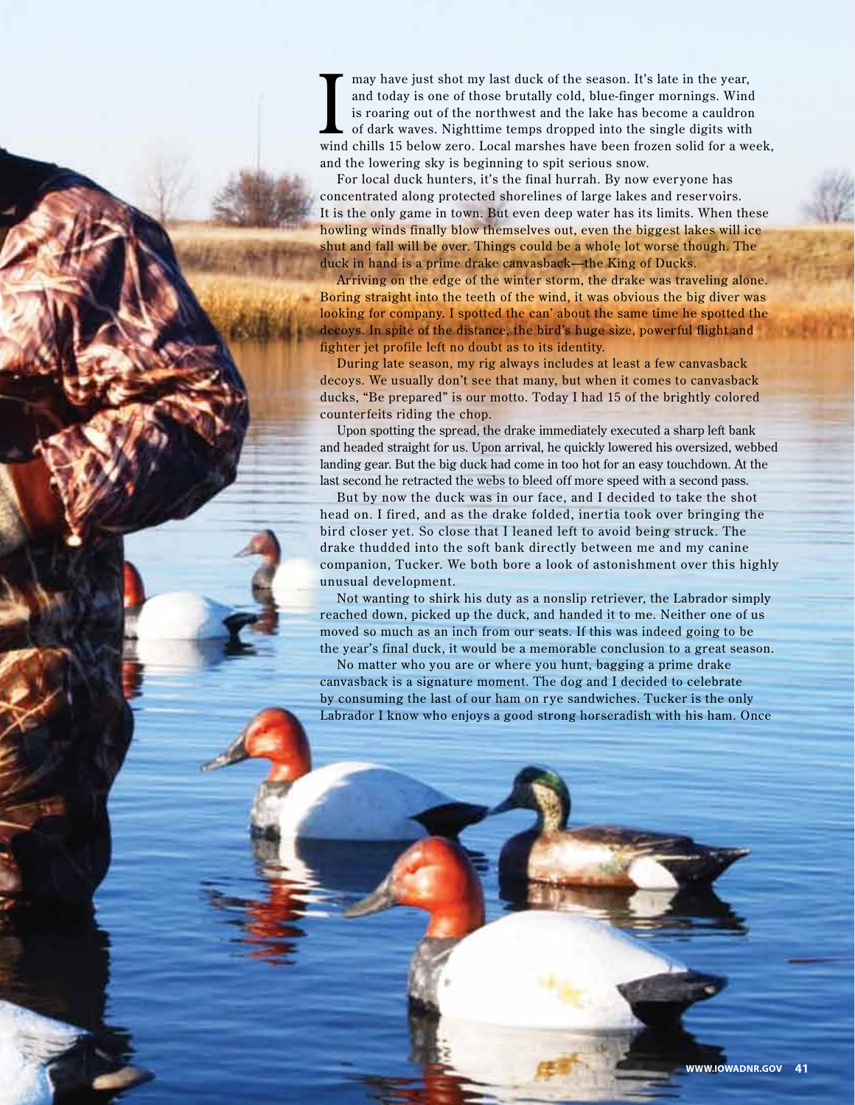may have just shot my last duck of the season. It's late in the year,<br>and today is one of those brutally cold, blue-finger mornings. Wind<br>is roaring out of the northwest and the lake has become a cauldron<br>of dark waves. Ni may have just shot my last duck of the season. It's late in the year, and today is one of those brutally cold, blue-finger mornings. Wind is roaring out of the northwest and the lake has become a cauldron of dark waves. Nighttime temps dropped into the single digits with and the lowering sky is beginning to spit serious snow.

For local duck hunters, it's the final hurrah. By now ever yone has concentrated along protected shorelines of large lakes and reser voirs. It is the only game in town. But even deep water has its limits. When these howling winds finally blow themselves out, even the biggest lakes will ice shut and fall will be over. Things could be a whole lot worse though. The duck in hand is a prime drake canvasback—the King of Ducks.

Arriving on the edge of the winter storm, the drake was traveling alone. Boring straight into the teeth of the wind, it was obvious the big diver was looking for company. I spotted the can' about the same time he spotted the decoys. In spite of the distance, the bird's huge size, powerful flight and fighter jet profile left no doubt as to its identity.

During late season, my rig always includes at least a few canvasback decoys. We usually don't see that many, but when it comes to canvasback ducks, "Be prepared" is our motto. Today I had 15 of the brightly colored counterfeits riding the chop.

Upon spotting the spread, the drake immediately executed a sharp left bank and headed straight for us. Upon arrival, he quickly lowered his oversized, webbed landing gear. But the big duck had come in too hot for an easy touchdown. At the last second he retracted the webs to bleed off more speed with a second pass.

But by now the duck was in our face, and I decided to take the shot head on. I fired, and as the drake folded, iner tia took over bringing the bird closer yet. So close that I leaned left to avoid being struck. The drake thudded into the soft bank directly between me and my canine companion, Tucker. We both bore a look of astonishment over this highly unusual development.

Not wanting to shirk his duty as a nonslip retriever, the Labrador simply reached down, picked up the duck, and handed it to me. Neither one of us moved so much as an inch from our seats. If this was indeed going to be the year's final duck, it would be a memorable conclusion to a great season.

No matter who you are or where you hunt, bagging a prime drake canvasback is a signature moment. The dog and I decided to celebrate by consuming the last of our ham on rye sandwiches. Tucker is the only Labrador I know who enjoys a good strong horseradish with his ham. Once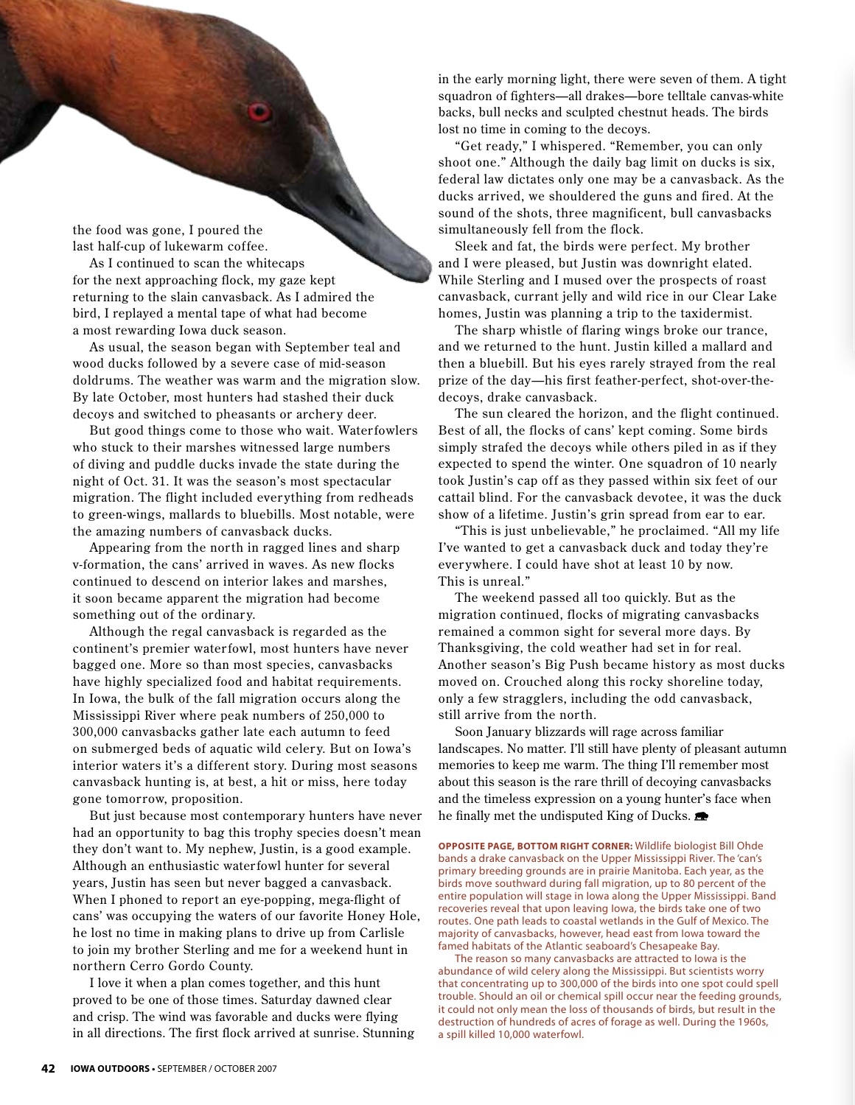the food was gone, I poured the last half-cup of lukewarm coffee.

As I continued to scan the whitecaps for the next approaching flock, my gaze kept returning to the slain canvasback. As I admired the bird, I replayed a mental tape of what had become a most rewarding Iowa duck season.

As usual, the season began with September teal and wood ducks followed by a severe case of mid-season doldrums. The weather was warm and the migration slow. By late October, most hunters had stashed their duck decoys and switched to pheasants or archery deer.

But good things come to those who wait. Waterfowlers who stuck to their marshes witnessed large numbers of diving and puddle ducks invade the state during the night of Oct. 31. It was the season's most spectacular migration. The flight included ever ything from redheads to green-wings, mallards to bluebills. Most notable, were the amazing numbers of canvasback ducks.

Appearing from the north in ragged lines and sharp v-formation, the cans' arrived in waves. As new flocks continued to descend on interior lakes and marshes, it soon became apparent the migration had become something out of the ordinary.

Although the regal canvasback is regarded as the continent's premier waterfowl, most hunters have never bagged one. More so than most species, canvasbacks have highly specialized food and habitat requirements. In Iowa, the bulk of the fall migration occurs along the Mississippi River where peak numbers of 250,000 to 300,000 canvasbacks gather late each autumn to feed on submerged beds of aquatic wild celer y. But on Iowa's interior waters it's a different story. During most seasons canvasback hunting is, at best, a hit or miss, here today gone tomorrow, proposition.

But just because most contemporary hunters have never had an opportunity to bag this trophy species doesn't mean they don't want to. My nephew, Justin, is a good example. Although an enthusiastic waterfowl hunter for several years, Justin has seen but never bagged a canvasback. When I phoned to report an eye-popping, mega-flight of cans' was occupying the waters of our favorite Honey Hole, he lost no time in making plans to drive up from Carlisle to join my brother Sterling and me for a weekend hunt in northern Cerro Gordo County.

I love it when a plan comes together, and this hunt proved to be one of those times. Saturday dawned clear and crisp. The wind was favorable and ducks were flying in all directions. The first flock arrived at sunrise. Stunning in the early morning light, there were seven of them. A tight squadron of fighters—all drakes—bore telltale canvas-white backs, bull necks and sculpted chestnut heads. The birds lost no time in coming to the decoys.

"Get ready," I whispered. "Remember, you can only shoot one." Although the daily bag limit on ducks is six, federal law dictates only one may be a canvasback. As the ducks arrived, we shouldered the guns and fired. At the sound of the shots, three magnificent, bull canvasbacks simultaneously fell from the flock.

Sleek and fat, the birds were perfect. My brother and I were pleased, but Justin was downright elated. While Sterling and I mused over the prospects of roast canvasback, currant jelly and wild rice in our Clear Lake homes, Justin was planning a trip to the taxidermist.

The sharp whistle of flaring wings broke our trance, and we returned to the hunt. Justin killed a mallard and then a bluebill. But his eyes rarely strayed from the real prize of the day—his first feather-perfect, shot-over-thedecoys, drake canvasback.

The sun cleared the horizon, and the flight continued. Best of all, the flocks of cans' kept coming. Some birds simply strafed the decoys while others piled in as if they expected to spend the winter. One squadron of 10 nearly took Justin's cap off as they passed within six feet of our cattail blind. For the canvasback devotee, it was the duck show of a lifetime. Justin's grin spread from ear to ear.

"This is just unbelievable," he proclaimed. "All my life I've wanted to get a canvasback duck and today they're everywhere. I could have shot at least 10 by now. This is unreal."

The weekend passed all too quickly. But as the migration continued, flocks of migrating canvasbacks remained a common sight for several more days. By Thanksgiving, the cold weather had set in for real. Another season's Big Push became history as most ducks moved on. Crouched along this rocky shoreline today, only a few stragglers, including the odd canvasback, still arrive from the north.

Soon January blizzards will rage across familiar landscapes. No matter. I'll still have plenty of pleasant autumn memories to keep me warm. The thing I'll remember most about this season is the rare thrill of decoying canvasbacks and the timeless expression on a young hunter's face when he finally met the undisputed King of Ducks.

**Opposite Page, bottom Right Corner:** Wildlife biologist Bill Ohde bands a drake canvasback on the Upper Mississippi River. The 'can's primary breeding grounds are in prairie Manitoba. Each year, as the birds move southward during fall migration, up to 80 percent of the entire population will stage in Iowa along the Upper Mississippi. Band recoveries reveal that upon leaving Iowa, the birds take one of two routes. One path leads to coastal wetlands in the Gulf of Mexico. The majority of canvasbacks, however, head east from Iowa toward the famed habitats of the Atlantic seaboard's Chesapeake Bay.

The reason so many canvasbacks are attracted to Iowa is the abundance of wild celery along the Mississippi. But scientists worry that concentrating up to 300,000 of the birds into one spot could spell trouble. Should an oil or chemical spill occur near the feeding grounds, it could not only mean the loss of thousands of birds, but result in the destruction of hundreds of acres of forage as well. During the 1960s, a spill killed 10,000 waterfowl.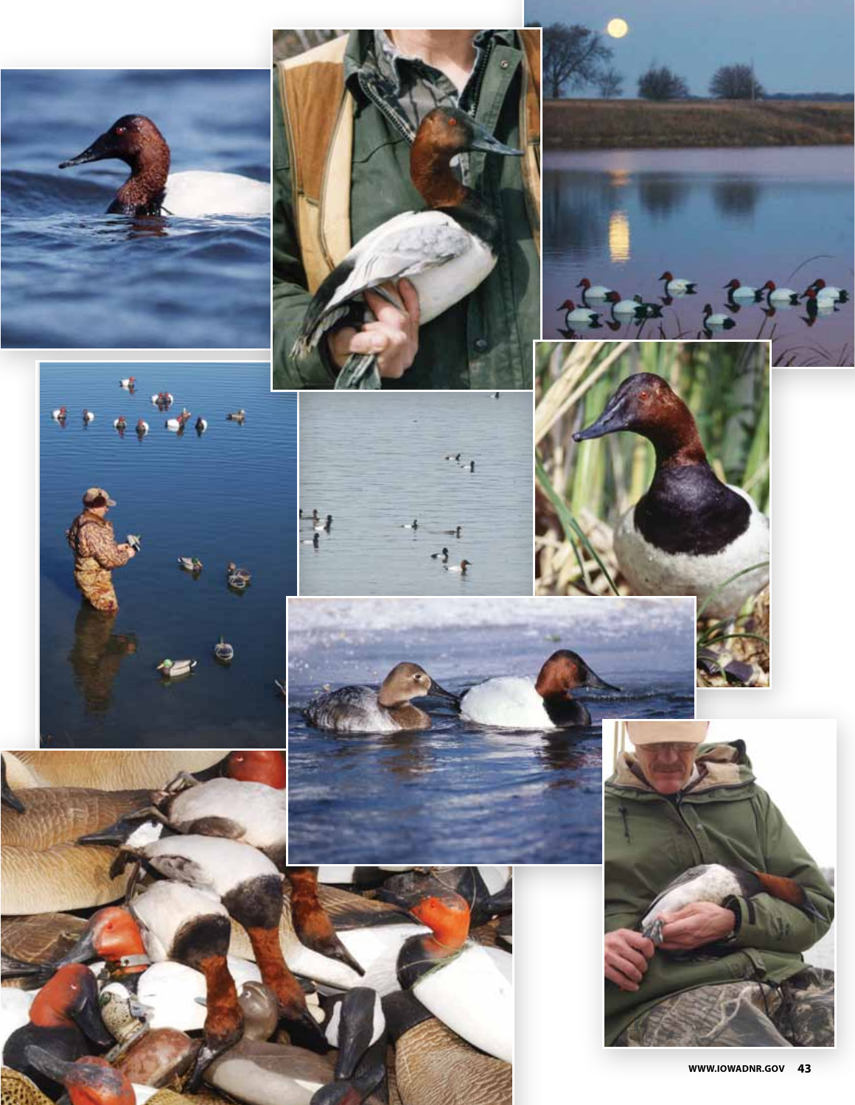







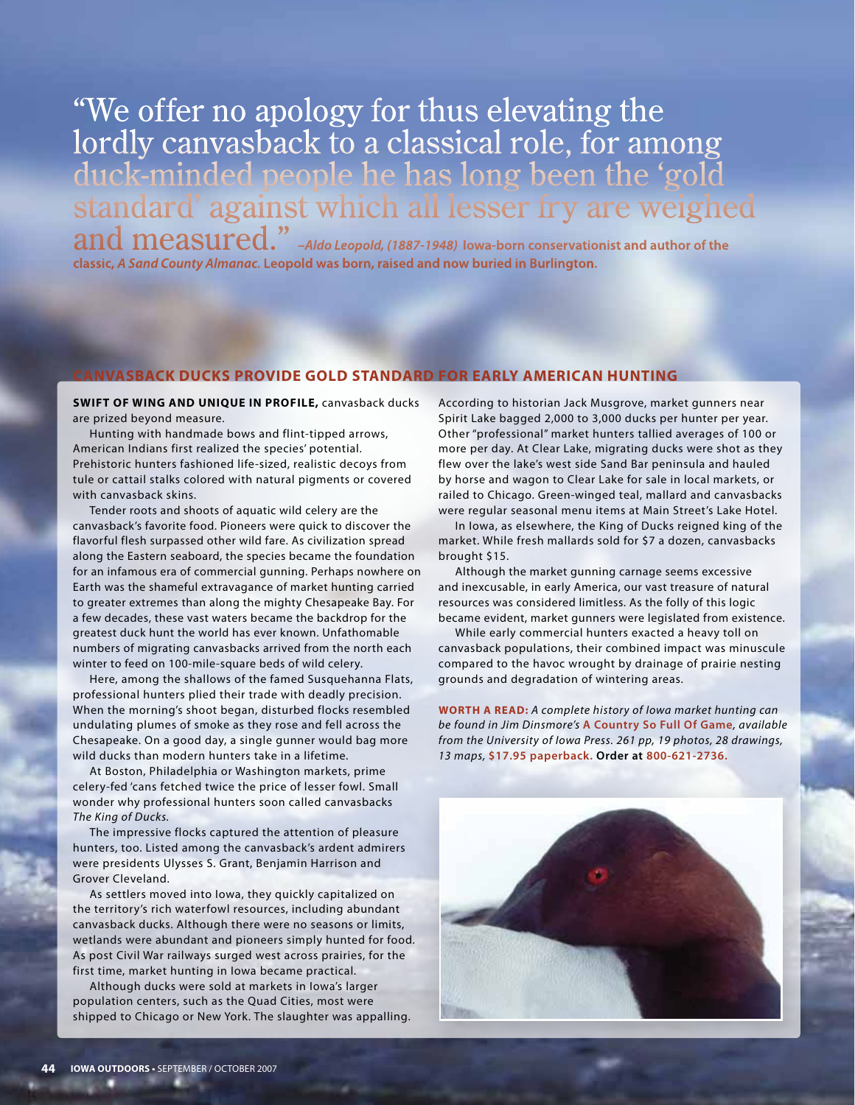"We offer no apology for thus elevating the lordly canvasback to a classical role, for among duck-minded people he has long been the 'gold standard' against which all lesser fry are weighed and measured." *–Aldo Leopold, (1887-1948)* **Iowa-born conservationist and author of the classic,** *A Sand County Almanac.* **Leopold was born, raised and now buried in Burlington.**

## **CANVASBACK DUCKS PROVIDE GOLD STANDARD FOR EARLY AMERICAN HUNTING**

**Swift of wing and unique in profile,** canvasback ducks are prized beyond measure.

Hunting with handmade bows and flint-tipped arrows, American Indians first realized the species' potential. Prehistoric hunters fashioned life-sized, realistic decoys from tule or cattail stalks colored with natural pigments or covered with canvasback skins.

Tender roots and shoots of aquatic wild celery are the canvasback's favorite food. Pioneers were quick to discover the flavorful flesh surpassed other wild fare. As civilization spread along the Eastern seaboard, the species became the foundation for an infamous era of commercial gunning. Perhaps nowhere on Earth was the shameful extravagance of market hunting carried to greater extremes than along the mighty Chesapeake Bay. For a few decades, these vast waters became the backdrop for the greatest duck hunt the world has ever known. Unfathomable numbers of migrating canvasbacks arrived from the north each winter to feed on 100-mile-square beds of wild celery.

Here, among the shallows of the famed Susquehanna Flats, professional hunters plied their trade with deadly precision. When the morning's shoot began, disturbed flocks resembled undulating plumes of smoke as they rose and fell across the Chesapeake. On a good day, a single gunner would bag more wild ducks than modern hunters take in a lifetime.

At Boston, Philadelphia or Washington markets, prime celery-fed 'cans fetched twice the price of lesser fowl. Small wonder why professional hunters soon called canvasbacks *The King of Ducks.*

The impressive flocks captured the attention of pleasure hunters, too. Listed among the canvasback's ardent admirers were presidents Ulysses S. Grant, Benjamin Harrison and Grover Cleveland.

As settlers moved into Iowa, they quickly capitalized on the territory's rich waterfowl resources, including abundant canvasback ducks. Although there were no seasons or limits, wetlands were abundant and pioneers simply hunted for food. As post Civil War railways surged west across prairies, for the first time, market hunting in Iowa became practical.

Although ducks were sold at markets in Iowa's larger population centers, such as the Quad Cities, most were shipped to Chicago or New York. The slaughter was appalling. According to historian Jack Musgrove, market gunners near Spirit Lake bagged 2,000 to 3,000 ducks per hunter per year. Other "professional" market hunters tallied averages of 100 or more per day. At Clear Lake, migrating ducks were shot as they flew over the lake's west side Sand Bar peninsula and hauled by horse and wagon to Clear Lake for sale in local markets, or railed to Chicago. Green-winged teal, mallard and canvasbacks were regular seasonal menu items at Main Street's Lake Hotel.

In Iowa, as elsewhere, the King of Ducks reigned king of the market. While fresh mallards sold for \$7 a dozen, canvasbacks brought \$15.

Although the market gunning carnage seems excessive and inexcusable, in early America, our vast treasure of natural resources was considered limitless. As the folly of this logic became evident, market gunners were legislated from existence.

While early commercial hunters exacted a heavy toll on canvasback populations, their combined impact was minuscule compared to the havoc wrought by drainage of prairie nesting grounds and degradation of wintering areas.

**worth a read:** *A complete history of Iowa market hunting can be found in Jim Dinsmore's* **A Country So Full Of Game***, available from the University of Iowa Press. 261 pp, 19 photos, 28 drawings, 13 maps,* **\$17.95 paperback. Order at 800-621-2736.**